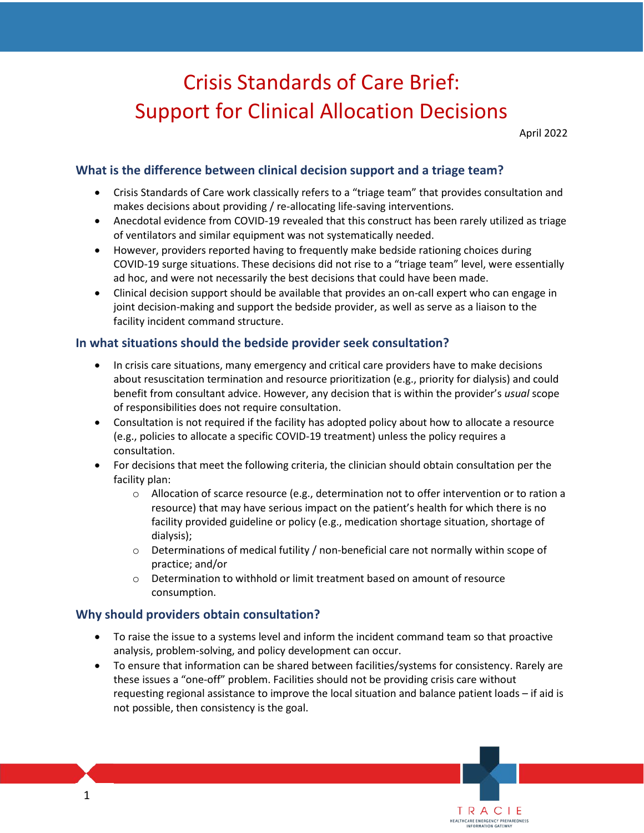# Crisis Standards of Care Brief: Support for Clinical Allocation Decisions

April 2022

## **What is the difference between clinical decision support and a triage team?**

- Crisis Standards of Care work classically refers to a "triage team" that provides consultation and makes decisions about providing / re-allocating life-saving interventions.
- • Anecdotal evidence from COVID-19 revealed that this construct has been rarely utilized as triage of ventilators and similar equipment was not systematically needed.
- However, providers reported having to frequently make bedside rationing choices during COVID-19 surge situations. These decisions did not rise to a "triage team" level, were essentially ad hoc, and were not necessarily the best decisions that could have been made.
- • Clinical decision support should be available that provides an on-call expert who can engage in joint decision-making and support the bedside provider, as well as serve as a liaison to the facility incident command structure.

#### **In what situations should the bedside provider seek consultation?**

- In crisis care situations, many emergency and critical care providers have to make decisions about resuscitation termination and resource prioritization (e.g., priority for dialysis) and could benefit from consultant advice. However, any decision that is within the provider's *usual* scope of responsibilities does not require consultation.
- (e.g., policies to allocate a specific COVID-19 treatment) unless the policy requires a • Consultation is not required if the facility has adopted policy about how to allocate a resource consultation.
- • For decisions that meet the following criteria, the clinician should obtain consultation per the facility plan:
	- resource) that may have serious impact on the patient's health for which there is no facility provided guideline or policy (e.g., medication shortage situation, shortage of  $\circ$  Allocation of scarce resource (e.g., determination not to offer intervention or to ration a dialysis);
	- $\circ$  Determinations of medical futility / non-beneficial care not normally within scope of practice; and/or
	- $\circ$  Determination to withhold or limit treatment based on amount of resource consumption.

#### **Why should providers obtain consultation?**

- • To raise the issue to a systems level and inform the incident command team so that proactive analysis, problem-solving, and policy development can occur.
- these issues a "one-off" problem. Facilities should not be providing crisis care without requesting regional assistance to improve the local situation and balance patient loads – if aid is • To ensure that information can be shared between facilities/systems for consistency. Rarely are not possible, then consistency is the goal.

TRACIE<br>HEALTHCARE EMERGENCY PREPAREDNESS

INFORMATION GATEWA